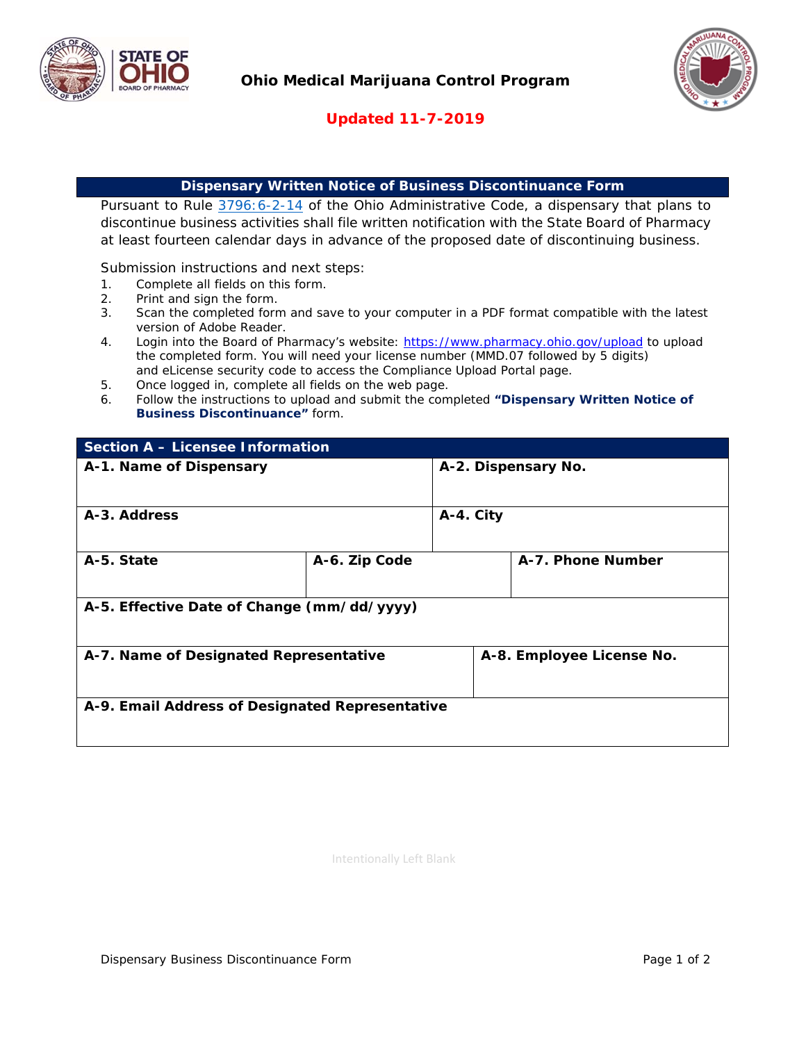



## **Updated 11-7-2019**

## **Dispensary Written Notice of Business Discontinuance Form**

Pursuant to Rule 3796:6-2-14 of the Ohio Administrative Code, a dispensary that plans to discontinue business activities shall file written notification with the State Board of Pharmacy at least fourteen calendar days in advance of the proposed date of discontinuing business.

Submission instructions and next steps:

- 1. Complete all fields on this form.
- 2. Print and sign the form.
- 3. Scan the completed form and save to your computer in a PDF format compatible with the latest version of Adobe Reader.
- 4. Login into the Board of Pharmacy's website: https://www.pharmacy.ohio.gov/upload to upload the completed form. You will need your license number (MMD.07 followed by 5 digits) and eLicense security code to access the Compliance Upload Portal page.
- 5. Once logged in, complete all fields on the web page.
- 6. Follow the instructions to upload and submit the completed **"Dispensary Written Notice of Business Discontinuance"** form.

| <b>Section A - Licensee Information</b>         |               |                           |                   |  |
|-------------------------------------------------|---------------|---------------------------|-------------------|--|
| A-1. Name of Dispensary                         |               | A-2. Dispensary No.       |                   |  |
|                                                 |               |                           |                   |  |
| A-3. Address                                    |               | A-4. City                 |                   |  |
|                                                 |               |                           |                   |  |
| A-5. State                                      | A-6. Zip Code |                           | A-7. Phone Number |  |
|                                                 |               |                           |                   |  |
| A-5. Effective Date of Change (mm/dd/yyyy)      |               |                           |                   |  |
|                                                 |               |                           |                   |  |
| A-7. Name of Designated Representative          |               | A-8. Employee License No. |                   |  |
|                                                 |               |                           |                   |  |
| A-9. Email Address of Designated Representative |               |                           |                   |  |
|                                                 |               |                           |                   |  |
|                                                 |               |                           |                   |  |

Intentionally Left Blank